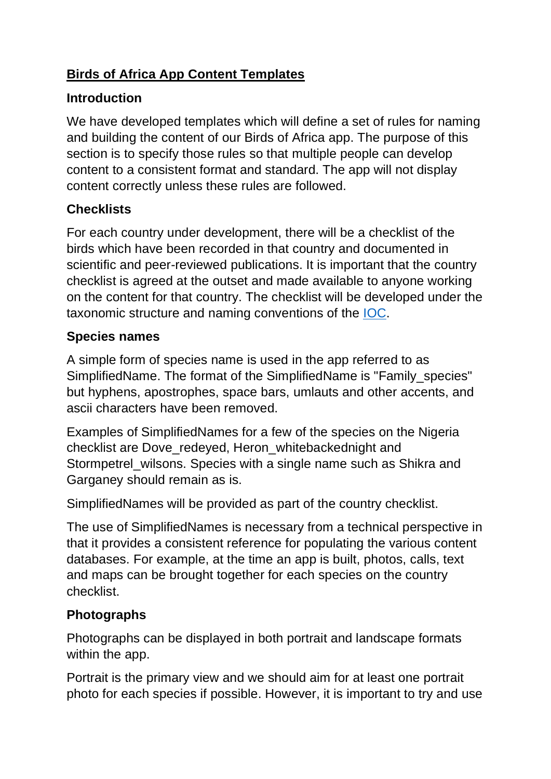## **Birds of Africa App Content Templates**

### **Introduction**

We have developed templates which will define a set of rules for naming and building the content of our Birds of Africa app. The purpose of this section is to specify those rules so that multiple people can develop content to a consistent format and standard. The app will not display content correctly unless these rules are followed.

# **Checklists**

For each country under development, there will be a checklist of the birds which have been recorded in that country and documented in scientific and peer-reviewed publications. It is important that the country checklist is agreed at the outset and made available to anyone working on the content for that country. The checklist will be developed under the taxonomic structure and naming conventions of the [IOC.](http://www.worldbirdnames.org/)

### **Species names**

A simple form of species name is used in the app referred to as SimplifiedName. The format of the SimplifiedName is "Family\_species" but hyphens, apostrophes, space bars, umlauts and other accents, and ascii characters have been removed.

Examples of SimplifiedNames for a few of the species on the Nigeria checklist are Dove\_redeyed, Heron\_whitebackednight and Stormpetrel\_wilsons. Species with a single name such as Shikra and Garganey should remain as is.

SimplifiedNames will be provided as part of the country checklist.

The use of SimplifiedNames is necessary from a technical perspective in that it provides a consistent reference for populating the various content databases. For example, at the time an app is built, photos, calls, text and maps can be brought together for each species on the country checklist.

# **Photographs**

Photographs can be displayed in both portrait and landscape formats within the app.

Portrait is the primary view and we should aim for at least one portrait photo for each species if possible. However, it is important to try and use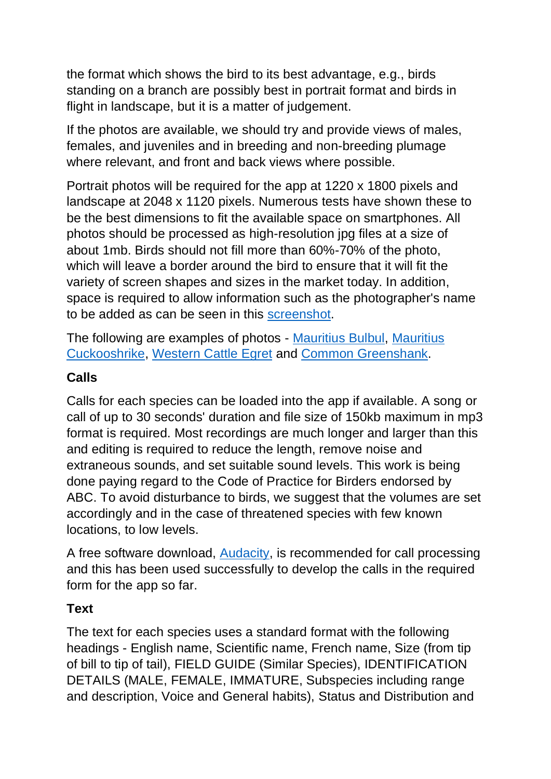the format which shows the bird to its best advantage, e.g., birds standing on a branch are possibly best in portrait format and birds in flight in landscape, but it is a matter of judgement.

If the photos are available, we should try and provide views of males, females, and juveniles and in breeding and non-breeding plumage where relevant, and front and back views where possible.

Portrait photos will be required for the app at 1220 x 1800 pixels and landscape at 2048 x 1120 pixels. Numerous tests have shown these to be the best dimensions to fit the available space on smartphones. All photos should be processed as high-resolution jpg files at a size of about 1mb. Birds should not fill more than 60%-70% of the photo, which will leave a border around the bird to ensure that it will fit the variety of screen shapes and sizes in the market today. In addition, space is required to allow information such as the photographer's name to be added as can be seen in this [screenshot.](https://www.africanbirdclub.org/sites/default/files/ABC_App_Test_Mauritius_v2.jpg)

The following are examples of photos - [Mauritius Bulbul,](https://www.africanbirdclub.org/sites/default/files/Bulbul_mauritius.10.jpg) [Mauritius](https://www.africanbirdclub.org/sites/default/files/Cuckooshrike_mauritius.40.jpg)  [Cuckooshrike,](https://www.africanbirdclub.org/sites/default/files/Cuckooshrike_mauritius.40.jpg) [Western Cattle Egret](https://www.africanbirdclub.org/sites/default/files/Egret_westerncattle.15_ibis.jpg) and [Common Greenshank.](https://www.africanbirdclub.org/sites/default/files/Greenshank_common.46.jpg)

#### **Calls**

Calls for each species can be loaded into the app if available. A song or call of up to 30 seconds' duration and file size of 150kb maximum in mp3 format is required. Most recordings are much longer and larger than this and editing is required to reduce the length, remove noise and extraneous sounds, and set suitable sound levels. This work is being done paying regard to the Code of Practice for Birders endorsed by ABC. To avoid disturbance to birds, we suggest that the volumes are set accordingly and in the case of threatened species with few known locations, to low levels.

A free software download, [Audacity,](http://www.audacityteam.org/download/) is recommended for call processing and this has been used successfully to develop the calls in the required form for the app so far.

#### **Text**

The text for each species uses a standard format with the following headings - English name, Scientific name, French name, Size (from tip of bill to tip of tail), FIELD GUIDE (Similar Species), IDENTIFICATION DETAILS (MALE, FEMALE, IMMATURE, Subspecies including range and description, Voice and General habits), Status and Distribution and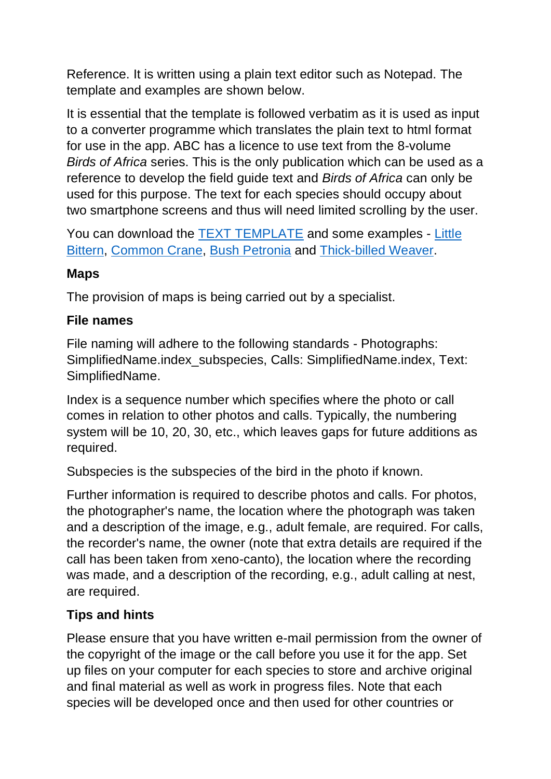Reference. It is written using a plain text editor such as Notepad. The template and examples are shown below.

It is essential that the template is followed verbatim as it is used as input to a converter programme which translates the plain text to html format for use in the app. ABC has a licence to use text from the 8-volume *Birds of Africa* series. This is the only publication which can be used as a reference to develop the field guide text and *Birds of Africa* can only be used for this purpose. The text for each species should occupy about two smartphone screens and thus will need limited scrolling by the user.

You can download the **[TEXT TEMPLATE](https://www.africanbirdclub.org/sites/default/files/Template_Final_v6.txt)** and some examples - Little [Bittern,](https://www.africanbirdclub.org/sites/default/files/Bittern_little.txt) [Common Crane,](https://www.africanbirdclub.org/sites/default/files/Crane_common.txt) [Bush Petronia](https://www.africanbirdclub.org/sites/default/files/Petronia_bush.txt) and [Thick-billed Weaver.](https://www.africanbirdclub.org/sites/default/files/Weaver_thickbilled.txt)

#### **Maps**

The provision of maps is being carried out by a specialist.

#### **File names**

File naming will adhere to the following standards - Photographs: SimplifiedName.index\_subspecies, Calls: SimplifiedName.index, Text: SimplifiedName.

Index is a sequence number which specifies where the photo or call comes in relation to other photos and calls. Typically, the numbering system will be 10, 20, 30, etc., which leaves gaps for future additions as required.

Subspecies is the subspecies of the bird in the photo if known.

Further information is required to describe photos and calls. For photos, the photographer's name, the location where the photograph was taken and a description of the image, e.g., adult female, are required. For calls, the recorder's name, the owner (note that extra details are required if the call has been taken from xeno-canto), the location where the recording was made, and a description of the recording, e.g., adult calling at nest, are required.

### **Tips and hints**

Please ensure that you have written e-mail permission from the owner of the copyright of the image or the call before you use it for the app. Set up files on your computer for each species to store and archive original and final material as well as work in progress files. Note that each species will be developed once and then used for other countries or